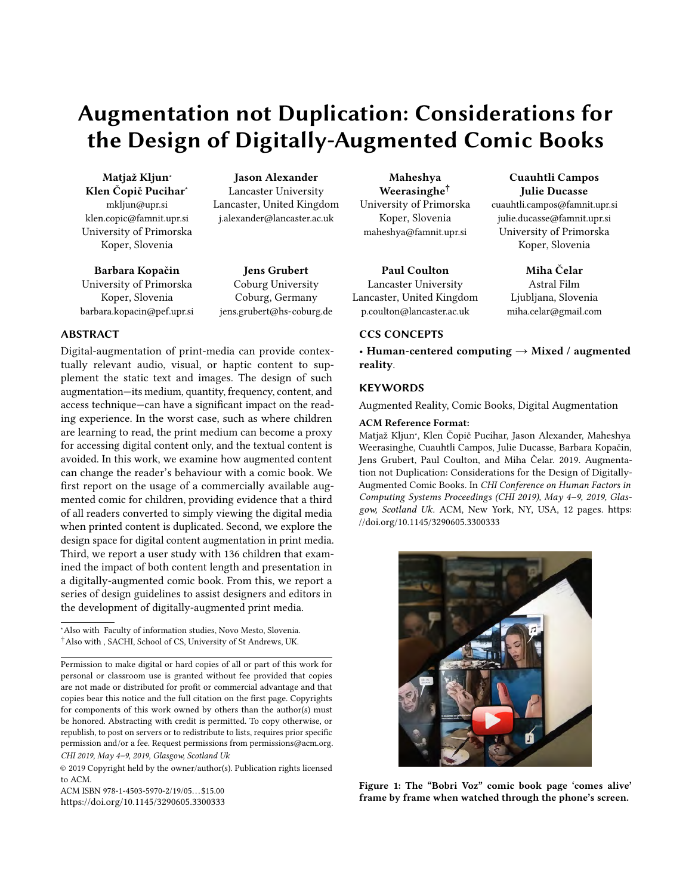# Augmentation not Duplication: Considerations for the Design of Digitally-Augmented Comic Books

Matjaž Kljun\* Klen Čopič Pucihar<sup>∗</sup> mkljun@upr.si klen.copic@famnit.upr.si University of Primorska Koper, Slovenia

Barbara Kopačin University of Primorska Koper, Slovenia barbara.kopacin@pef.upr.si

Jason Alexander Lancaster University Lancaster, United Kingdom j.alexander@lancaster.ac.uk

Jens Grubert Coburg University Coburg, Germany jens.grubert@hs-coburg.de

# ABSTRACT

Digital-augmentation of print-media can provide contextually relevant audio, visual, or haptic content to supplement the static text and images. The design of such augmentation—its medium, quantity, frequency, content, and access technique—can have a significant impact on the reading experience. In the worst case, such as where children are learning to read, the print medium can become a proxy for accessing digital content only, and the textual content is avoided. In this work, we examine how augmented content can change the reader's behaviour with a comic book. We first report on the usage of a commercially available augmented comic for children, providing evidence that a third of all readers converted to simply viewing the digital media when printed content is duplicated. Second, we explore the design space for digital content augmentation in print media. Third, we report a user study with 136 children that examined the impact of both content length and presentation in a digitally-augmented comic book. From this, we report a series of design guidelines to assist designers and editors in the development of digitally-augmented print media.

© 2019 Copyright held by the owner/author(s). Publication rights licensed to ACM.

ACM ISBN 978-1-4503-5970-2/19/05. . . \$15.00 <https://doi.org/10.1145/3290605.3300333>

Maheshya Weerasinghe† University of Primorska Koper, Slovenia maheshya@famnit.upr.si

Paul Coulton Lancaster University Lancaster, United Kingdom p.coulton@lancaster.ac.uk

# CCS CONCEPTS

• Human-centered computing  $\rightarrow$  Mixed / augmented reality.

#### **KEYWORDS**

Augmented Reality, Comic Books, Digital Augmentation

#### ACM Reference Format:

Matjaž Kljun\*, Klen Čopič Pucihar, Jason Alexander, Maheshya Weerasinghe, Cuauhtli Campos, Julie Ducasse, Barbara Kopačin, Jens Grubert, Paul Coulton, and Miha Čelar. 2019. Augmentation not Duplication: Considerations for the Design of Digitally-Augmented Comic Books. In CHI Conference on Human Factors in Computing Systems Proceedings (CHI 2019), May 4–9, 2019, Glasgow, Scotland Uk. ACM, New York, NY, USA, [12](#page-11-0) pages. [https:](https://doi.org/10.1145/3290605.3300333) [//doi.org/10.1145/3290605.3300333](https://doi.org/10.1145/3290605.3300333)

<span id="page-0-0"></span>

Figure 1: The "Bobri Voz" comic book page 'comes alive' frame by frame when watched through the phone's screen.

# Cuauhtli Campos Julie Ducasse

cuauhtli.campos@famnit.upr.si julie.ducasse@famnit.upr.si University of Primorska Koper, Slovenia

> Miha Čelar Astral Film

Ljubljana, Slovenia miha.celar@gmail.com

<sup>∗</sup>Also with Faculty of information studies, Novo Mesto, Slovenia. †Also with , SACHI, School of CS, University of St Andrews, UK.

Permission to make digital or hard copies of all or part of this work for personal or classroom use is granted without fee provided that copies are not made or distributed for profit or commercial advantage and that copies bear this notice and the full citation on the first page. Copyrights for components of this work owned by others than the author(s) must be honored. Abstracting with credit is permitted. To copy otherwise, or republish, to post on servers or to redistribute to lists, requires prior specific permission and/or a fee. Request permissions from permissions@acm.org. CHI 2019, May 4–9, 2019, Glasgow, Scotland Uk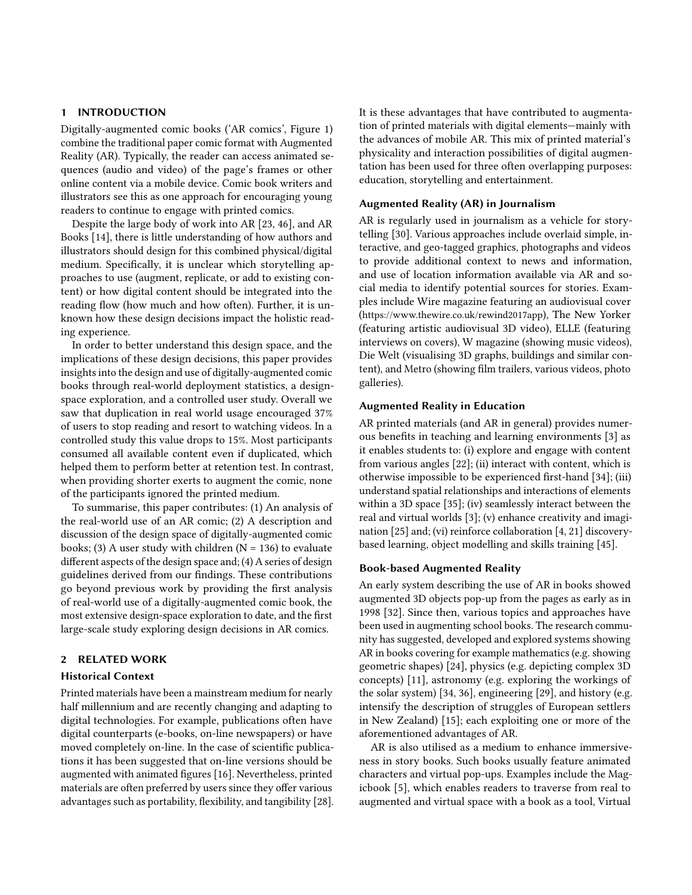# 1 INTRODUCTION

Digitally-augmented comic books ('AR comics', Figure [1\)](#page-0-0) combine the traditional paper comic format with Augmented Reality (AR). Typically, the reader can access animated sequences (audio and video) of the page's frames or other online content via a mobile device. Comic book writers and illustrators see this as one approach for encouraging young readers to continue to engage with printed comics.

Despite the large body of work into AR [\[23,](#page-10-0) [46\]](#page-11-1), and AR Books [\[14\]](#page-10-1), there is little understanding of how authors and illustrators should design for this combined physical/digital medium. Specifically, it is unclear which storytelling approaches to use (augment, replicate, or add to existing content) or how digital content should be integrated into the reading flow (how much and how often). Further, it is unknown how these design decisions impact the holistic reading experience.

In order to better understand this design space, and the implications of these design decisions, this paper provides insights into the design and use of digitally-augmented comic books through real-world deployment statistics, a designspace exploration, and a controlled user study. Overall we saw that duplication in real world usage encouraged 37% of users to stop reading and resort to watching videos. In a controlled study this value drops to 15%. Most participants consumed all available content even if duplicated, which helped them to perform better at retention test. In contrast, when providing shorter exerts to augment the comic, none of the participants ignored the printed medium.

To summarise, this paper contributes: (1) An analysis of the real-world use of an AR comic; (2) A description and discussion of the design space of digitally-augmented comic books; (3) A user study with children ( $N = 136$ ) to evaluate different aspects of the design space and; (4) A series of design guidelines derived from our findings. These contributions go beyond previous work by providing the first analysis of real-world use of a digitally-augmented comic book, the most extensive design-space exploration to date, and the first large-scale study exploring design decisions in AR comics.

# 2 RELATED WORK

#### Historical Context

Printed materials have been a mainstream medium for nearly half millennium and are recently changing and adapting to digital technologies. For example, publications often have digital counterparts (e-books, on-line newspapers) or have moved completely on-line. In the case of scientific publications it has been suggested that on-line versions should be augmented with animated figures [\[16\]](#page-10-2). Nevertheless, printed materials are often preferred by users since they offer various advantages such as portability, flexibility, and tangibility [\[28\]](#page-10-3). It is these advantages that have contributed to augmentation of printed materials with digital elements—mainly with the advances of mobile AR. This mix of printed material's physicality and interaction possibilities of digital augmentation has been used for three often overlapping purposes: education, storytelling and entertainment.

#### Augmented Reality (AR) in Journalism

AR is regularly used in journalism as a vehicle for storytelling [\[30\]](#page-10-4). Various approaches include overlaid simple, interactive, and geo-tagged graphics, photographs and videos to provide additional context to news and information, and use of location information available via AR and social media to identify potential sources for stories. Examples include Wire magazine featuring an audiovisual cover (<https://www.thewire.co.uk/rewind2017app>), The New Yorker (featuring artistic audiovisual 3D video), ELLE (featuring interviews on covers), W magazine (showing music videos), Die Welt (visualising 3D graphs, buildings and similar content), and Metro (showing film trailers, various videos, photo galleries).

#### Augmented Reality in Education

AR printed materials (and AR in general) provides numerous benefits in teaching and learning environments [\[3\]](#page-10-5) as it enables students to: (i) explore and engage with content from various angles [\[22\]](#page-10-6); (ii) interact with content, which is otherwise impossible to be experienced first-hand [\[34\]](#page-11-2); (iii) understand spatial relationships and interactions of elements within a 3D space [\[35\]](#page-11-3); (iv) seamlessly interact between the real and virtual worlds [\[3\]](#page-10-5); (v) enhance creativity and imagination [\[25\]](#page-10-7) and; (vi) reinforce collaboration [\[4,](#page-10-8) [21\]](#page-10-9) discoverybased learning, object modelling and skills training [\[45\]](#page-11-4).

#### Book-based Augmented Reality

An early system describing the use of AR in books showed augmented 3D objects pop-up from the pages as early as in 1998 [\[32\]](#page-11-5). Since then, various topics and approaches have been used in augmenting school books. The research community has suggested, developed and explored systems showing AR in books covering for example mathematics (e.g. showing geometric shapes) [\[24\]](#page-10-10), physics (e.g. depicting complex 3D concepts) [\[11\]](#page-10-11), astronomy (e.g. exploring the workings of the solar system) [\[34,](#page-11-2) [36\]](#page-11-6), engineering [\[29\]](#page-10-12), and history (e.g. intensify the description of struggles of European settlers in New Zealand) [\[15\]](#page-10-13); each exploiting one or more of the aforementioned advantages of AR.

AR is also utilised as a medium to enhance immersiveness in story books. Such books usually feature animated characters and virtual pop-ups. Examples include the Magicbook [\[5\]](#page-10-14), which enables readers to traverse from real to augmented and virtual space with a book as a tool, Virtual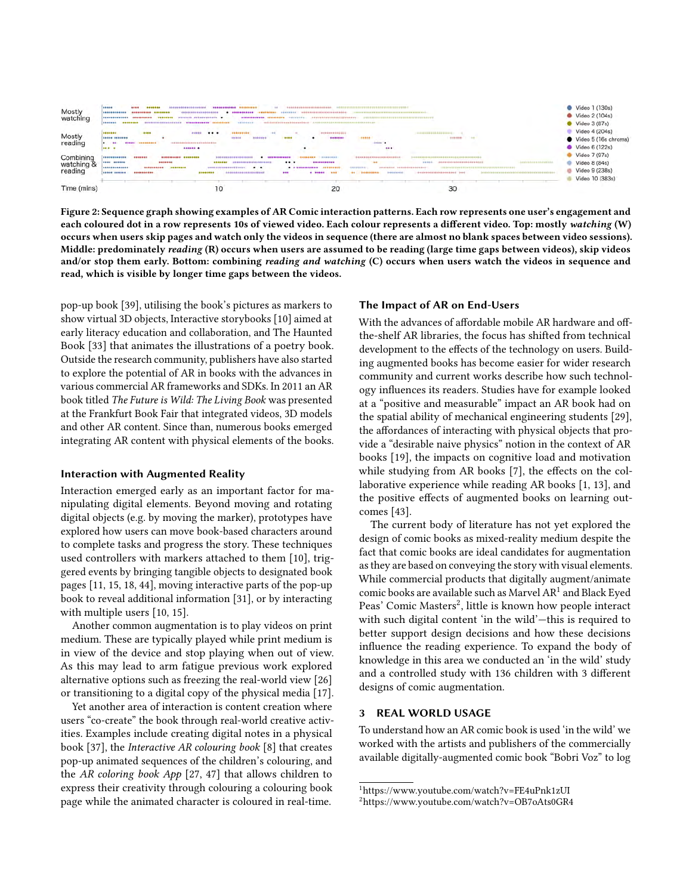<span id="page-2-2"></span>

Figure 2: Sequence graph showing examples of AR Comic interaction patterns. Each row represents one user's engagement and each coloured dot in a row represents 10s of viewed video. Each colour represents a different video. Top: mostly watching (W) occurs when users skip pages and watch only the videos in sequence (there are almost no blank spaces between video sessions). Middle: predominately reading (R) occurs when users are assumed to be reading (large time gaps between videos), skip videos and/or stop them early. Bottom: combining reading and watching (C) occurs when users watch the videos in sequence and read, which is visible by longer time gaps between the videos.

pop-up book [\[39\]](#page-11-7), utilising the book's pictures as markers to show virtual 3D objects, Interactive storybooks [\[10\]](#page-10-15) aimed at early literacy education and collaboration, and The Haunted Book [\[33\]](#page-11-8) that animates the illustrations of a poetry book. Outside the research community, publishers have also started to explore the potential of AR in books with the advances in various commercial AR frameworks and SDKs. In 2011 an AR book titled The Future is Wild: The Living Book was presented at the Frankfurt Book Fair that integrated videos, 3D models and other AR content. Since than, numerous books emerged integrating AR content with physical elements of the books.

#### Interaction with Augmented Reality

Interaction emerged early as an important factor for manipulating digital elements. Beyond moving and rotating digital objects (e.g. by moving the marker), prototypes have explored how users can move book-based characters around to complete tasks and progress the story. These techniques used controllers with markers attached to them [\[10\]](#page-10-15), triggered events by bringing tangible objects to designated book pages [\[11,](#page-10-11) [15,](#page-10-13) [18,](#page-10-16) [44\]](#page-11-9), moving interactive parts of the pop-up book to reveal additional information [\[31\]](#page-10-17), or by interacting with multiple users [\[10,](#page-10-15) [15\]](#page-10-13).

Another common augmentation is to play videos on print medium. These are typically played while print medium is in view of the device and stop playing when out of view. As this may lead to arm fatigue previous work explored alternative options such as freezing the real-world view [\[26\]](#page-10-18) or transitioning to a digital copy of the physical media [\[17\]](#page-10-19).

Yet another area of interaction is content creation where users "co-create" the book through real-world creative activities. Examples include creating digital notes in a physical book [\[37\]](#page-11-10), the Interactive AR colouring book [\[8\]](#page-10-20) that creates pop-up animated sequences of the children's colouring, and the AR coloring book App [\[27,](#page-10-21) [47\]](#page-11-11) that allows children to express their creativity through colouring a colouring book page while the animated character is coloured in real-time.

#### The Impact of AR on End-Users

With the advances of affordable mobile AR hardware and offthe-shelf AR libraries, the focus has shifted from technical development to the effects of the technology on users. Building augmented books has become easier for wider research community and current works describe how such technology influences its readers. Studies have for example looked at a "positive and measurable" impact an AR book had on the spatial ability of mechanical engineering students [\[29\]](#page-10-12), the affordances of interacting with physical objects that provide a "desirable naive physics" notion in the context of AR books [\[19\]](#page-10-22), the impacts on cognitive load and motivation while studying from AR books [\[7\]](#page-10-23), the effects on the collaborative experience while reading AR books [\[1,](#page-9-0) [13\]](#page-10-24), and the positive effects of augmented books on learning outcomes [\[43\]](#page-11-12).

The current body of literature has not yet explored the design of comic books as mixed-reality medium despite the fact that comic books are ideal candidates for augmentation as they are based on conveying the story with visual elements. While commercial products that digitally augment/animate comic books are available such as Marvel  $AR<sup>1</sup>$  $AR<sup>1</sup>$  $AR<sup>1</sup>$  and Black Eyed Peas' Comic Masters<sup>[2](#page-2-1)</sup>, little is known how people interact with such digital content 'in the wild'—this is required to better support design decisions and how these decisions influence the reading experience. To expand the body of knowledge in this area we conducted an 'in the wild' study and a controlled study with 136 children with 3 different designs of comic augmentation.

### 3 REAL WORLD USAGE

To understand how an AR comic book is used 'in the wild' we worked with the artists and publishers of the commercially available digitally-augmented comic book "Bobri Voz" to log

<span id="page-2-0"></span><sup>1</sup><https://www.youtube.com/watch?v=FE4uPnk1zUI>

<span id="page-2-1"></span><sup>2</sup><https://www.youtube.com/watch?v=OB7oAts0GR4>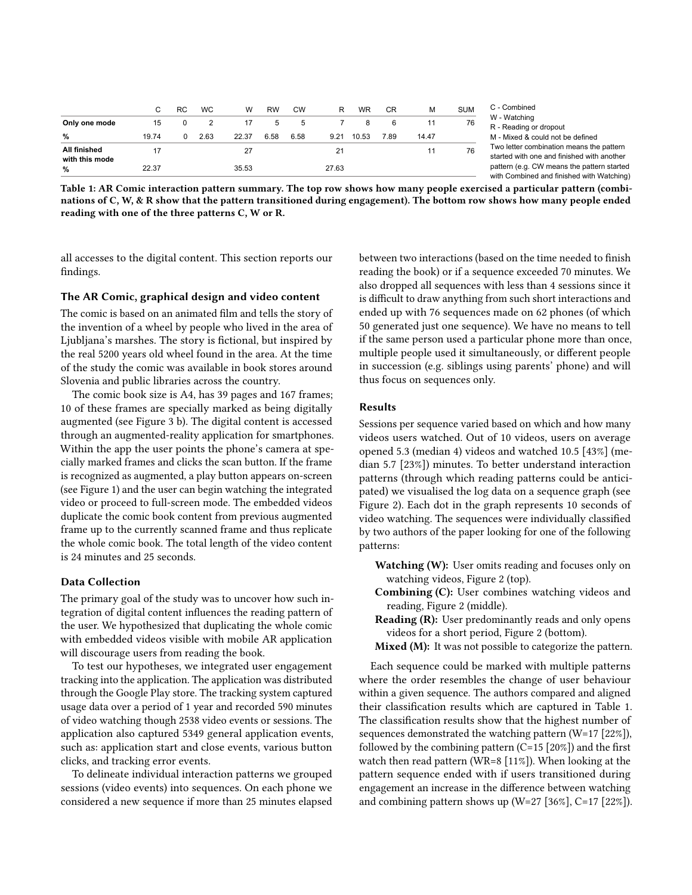<span id="page-3-0"></span>

|                                | C.    | RC.         | <b>WC</b> | W     | <b>RW</b> | CW   | R              | <b>WR</b> | <b>CR</b> | M     | <b>SUM</b> |
|--------------------------------|-------|-------------|-----------|-------|-----------|------|----------------|-----------|-----------|-------|------------|
| Only one mode                  | 15    | $\mathbf 0$ | 2         | 17    | 5         | 5    | $\overline{7}$ | - 8       | -6        | 11    | 76         |
| $\frac{0}{0}$                  | 19.74 | $\Omega$    | 2.63      | 22.37 | 6.58      | 6.58 | 9.21           | 10.53     | 7.89      | 14.47 |            |
| All finished<br>with this mode |       |             |           | 27    |           |      | 21             |           |           | 11    | 76         |
| $\frac{9}{6}$                  | 22.37 |             |           | 35.53 |           |      | 27.63          |           |           |       |            |

C - Combined W - Watching R - Reading or dropout M - Mixed & could not be defined Two letter combination means the pattern started with one and finished with another pattern (e.g. CW means the pattern started with Combined and finished with Watching)

Table 1: AR Comic interaction pattern summary. The top row shows how many people exercised a particular pattern (combinations of C, W, & R show that the pattern transitioned during engagement). The bottom row shows how many people ended reading with one of the three patterns C, W or R.

all accesses to the digital content. This section reports our findings.

## The AR Comic, graphical design and video content

The comic is based on an animated film and tells the story of the invention of a wheel by people who lived in the area of Ljubljana's marshes. The story is fictional, but inspired by the real 5200 years old wheel found in the area. At the time of the study the comic was available in book stores around Slovenia and public libraries across the country.

The comic book size is A4, has 39 pages and 167 frames; 10 of these frames are specially marked as being digitally augmented (see Figure [3](#page-6-0) b). The digital content is accessed through an augmented-reality application for smartphones. Within the app the user points the phone's camera at specially marked frames and clicks the scan button. If the frame is recognized as augmented, a play button appears on-screen (see Figure [1\)](#page-0-0) and the user can begin watching the integrated video or proceed to full-screen mode. The embedded videos duplicate the comic book content from previous augmented frame up to the currently scanned frame and thus replicate the whole comic book. The total length of the video content is 24 minutes and 25 seconds.

#### Data Collection

The primary goal of the study was to uncover how such integration of digital content influences the reading pattern of the user. We hypothesized that duplicating the whole comic with embedded videos visible with mobile AR application will discourage users from reading the book.

To test our hypotheses, we integrated user engagement tracking into the application. The application was distributed through the Google Play store. The tracking system captured usage data over a period of 1 year and recorded 590 minutes of video watching though 2538 video events or sessions. The application also captured 5349 general application events, such as: application start and close events, various button clicks, and tracking error events.

To delineate individual interaction patterns we grouped sessions (video events) into sequences. On each phone we considered a new sequence if more than 25 minutes elapsed between two interactions (based on the time needed to finish reading the book) or if a sequence exceeded 70 minutes. We also dropped all sequences with less than 4 sessions since it is difficult to draw anything from such short interactions and ended up with 76 sequences made on 62 phones (of which 50 generated just one sequence). We have no means to tell if the same person used a particular phone more than once, multiple people used it simultaneously, or different people in succession (e.g. siblings using parents' phone) and will thus focus on sequences only.

#### Results

Sessions per sequence varied based on which and how many videos users watched. Out of 10 videos, users on average opened 5.3 (median 4) videos and watched 10.5 [43%] (median 5.7 [23%]) minutes. To better understand interaction patterns (through which reading patterns could be anticipated) we visualised the log data on a sequence graph (see Figure [2\)](#page-2-2). Each dot in the graph represents 10 seconds of video watching. The sequences were individually classified by two authors of the paper looking for one of the following patterns:

- Watching (W): User omits reading and focuses only on watching videos, Figure [2](#page-2-2) (top).
- Combining (C): User combines watching videos and reading, Figure [2](#page-2-2) (middle).
- Reading (R): User predominantly reads and only opens videos for a short period, Figure [2](#page-2-2) (bottom).
- Mixed (M): It was not possible to categorize the pattern.

Each sequence could be marked with multiple patterns where the order resembles the change of user behaviour within a given sequence. The authors compared and aligned their classification results which are captured in Table [1.](#page-3-0) The classification results show that the highest number of sequences demonstrated the watching pattern (W=17 [22%]), followed by the combining pattern  $(C=15 \mid 20\%)$  and the first watch then read pattern (WR=8 [11%]). When looking at the pattern sequence ended with if users transitioned during engagement an increase in the difference between watching and combining pattern shows up (W=27 [36%], C=17 [22%]).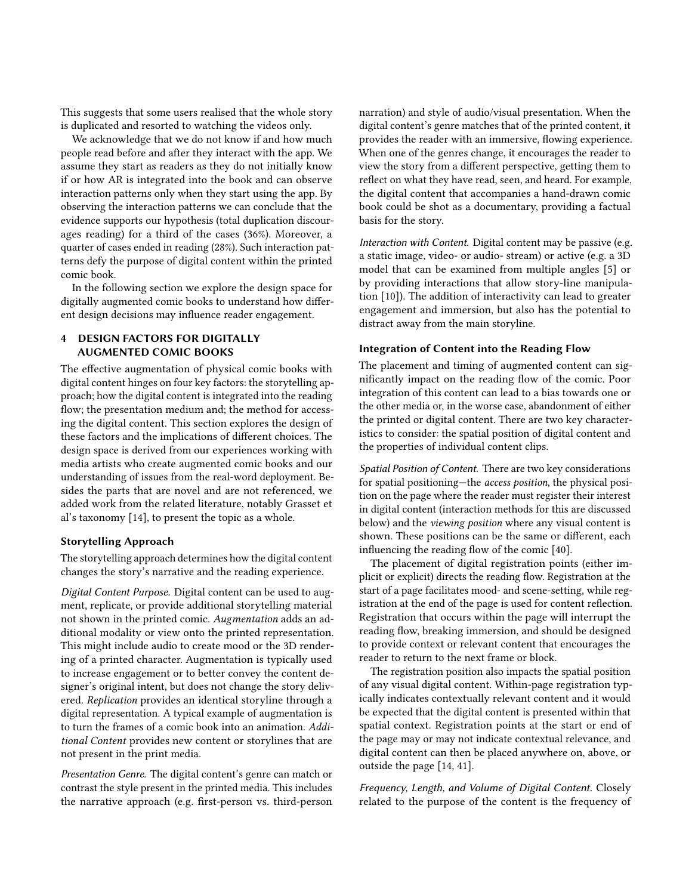This suggests that some users realised that the whole story is duplicated and resorted to watching the videos only.

We acknowledge that we do not know if and how much people read before and after they interact with the app. We assume they start as readers as they do not initially know if or how AR is integrated into the book and can observe interaction patterns only when they start using the app. By observing the interaction patterns we can conclude that the evidence supports our hypothesis (total duplication discourages reading) for a third of the cases (36%). Moreover, a quarter of cases ended in reading (28%). Such interaction patterns defy the purpose of digital content within the printed comic book.

In the following section we explore the design space for digitally augmented comic books to understand how different design decisions may influence reader engagement.

# 4 DESIGN FACTORS FOR DIGITALLY AUGMENTED COMIC BOOKS

The effective augmentation of physical comic books with digital content hinges on four key factors: the storytelling approach; how the digital content is integrated into the reading flow; the presentation medium and; the method for accessing the digital content. This section explores the design of these factors and the implications of different choices. The design space is derived from our experiences working with media artists who create augmented comic books and our understanding of issues from the real-word deployment. Besides the parts that are novel and are not referenced, we added work from the related literature, notably Grasset et al's taxonomy [\[14\]](#page-10-1), to present the topic as a whole.

# Storytelling Approach

The storytelling approach determines how the digital content changes the story's narrative and the reading experience.

Digital Content Purpose. Digital content can be used to augment, replicate, or provide additional storytelling material not shown in the printed comic. Augmentation adds an additional modality or view onto the printed representation. This might include audio to create mood or the 3D rendering of a printed character. Augmentation is typically used to increase engagement or to better convey the content designer's original intent, but does not change the story delivered. Replication provides an identical storyline through a digital representation. A typical example of augmentation is to turn the frames of a comic book into an animation. Additional Content provides new content or storylines that are not present in the print media.

Presentation Genre. The digital content's genre can match or contrast the style present in the printed media. This includes the narrative approach (e.g. first-person vs. third-person

narration) and style of audio/visual presentation. When the digital content's genre matches that of the printed content, it provides the reader with an immersive, flowing experience. When one of the genres change, it encourages the reader to view the story from a different perspective, getting them to reflect on what they have read, seen, and heard. For example, the digital content that accompanies a hand-drawn comic book could be shot as a documentary, providing a factual basis for the story.

Interaction with Content. Digital content may be passive (e.g. a static image, video- or audio- stream) or active (e.g. a 3D model that can be examined from multiple angles [\[5\]](#page-10-14) or by providing interactions that allow story-line manipulation [\[10\]](#page-10-15)). The addition of interactivity can lead to greater engagement and immersion, but also has the potential to distract away from the main storyline.

## Integration of Content into the Reading Flow

The placement and timing of augmented content can significantly impact on the reading flow of the comic. Poor integration of this content can lead to a bias towards one or the other media or, in the worse case, abandonment of either the printed or digital content. There are two key characteristics to consider: the spatial position of digital content and the properties of individual content clips.

Spatial Position of Content. There are two key considerations for spatial positioning—the access position, the physical position on the page where the reader must register their interest in digital content (interaction methods for this are discussed below) and the viewing position where any visual content is shown. These positions can be the same or different, each influencing the reading flow of the comic [\[40\]](#page-11-13).

The placement of digital registration points (either implicit or explicit) directs the reading flow. Registration at the start of a page facilitates mood- and scene-setting, while registration at the end of the page is used for content reflection. Registration that occurs within the page will interrupt the reading flow, breaking immersion, and should be designed to provide context or relevant content that encourages the reader to return to the next frame or block.

The registration position also impacts the spatial position of any visual digital content. Within-page registration typically indicates contextually relevant content and it would be expected that the digital content is presented within that spatial context. Registration points at the start or end of the page may or may not indicate contextual relevance, and digital content can then be placed anywhere on, above, or outside the page [\[14,](#page-10-1) [41\]](#page-11-14).

Frequency, Length, and Volume of Digital Content. Closely related to the purpose of the content is the frequency of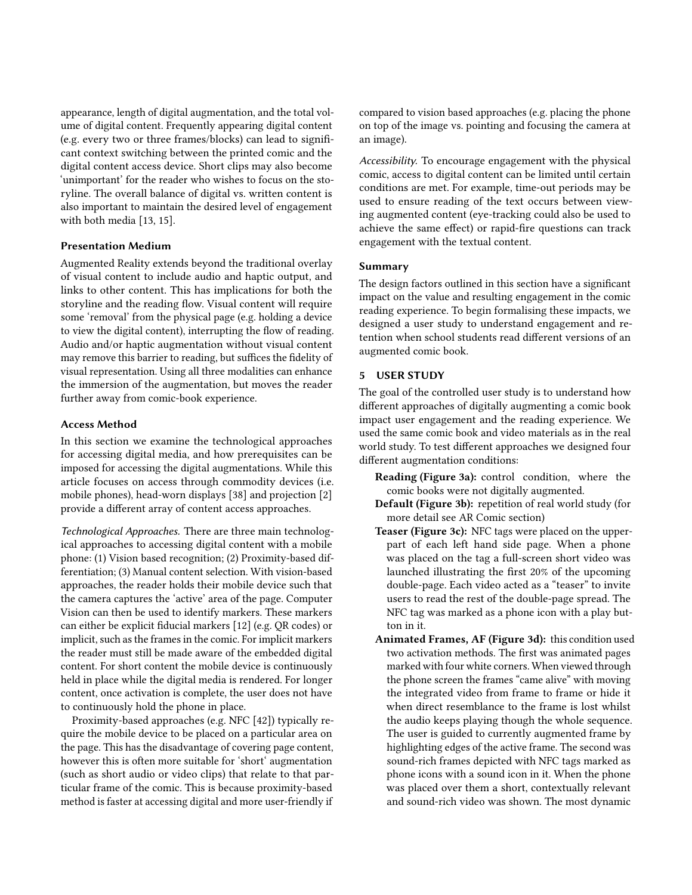appearance, length of digital augmentation, and the total volume of digital content. Frequently appearing digital content (e.g. every two or three frames/blocks) can lead to significant context switching between the printed comic and the digital content access device. Short clips may also become 'unimportant' for the reader who wishes to focus on the storyline. The overall balance of digital vs. written content is also important to maintain the desired level of engagement with both media [\[13,](#page-10-24) [15\]](#page-10-13).

## Presentation Medium

Augmented Reality extends beyond the traditional overlay of visual content to include audio and haptic output, and links to other content. This has implications for both the storyline and the reading flow. Visual content will require some 'removal' from the physical page (e.g. holding a device to view the digital content), interrupting the flow of reading. Audio and/or haptic augmentation without visual content may remove this barrier to reading, but suffices the fidelity of visual representation. Using all three modalities can enhance the immersion of the augmentation, but moves the reader further away from comic-book experience.

## Access Method

In this section we examine the technological approaches for accessing digital media, and how prerequisites can be imposed for accessing the digital augmentations. While this article focuses on access through commodity devices (i.e. mobile phones), head-worn displays [\[38\]](#page-11-15) and projection [\[2\]](#page-10-25) provide a different array of content access approaches.

Technological Approaches. There are three main technological approaches to accessing digital content with a mobile phone: (1) Vision based recognition; (2) Proximity-based differentiation; (3) Manual content selection. With vision-based approaches, the reader holds their mobile device such that the camera captures the 'active' area of the page. Computer Vision can then be used to identify markers. These markers can either be explicit fiducial markers [\[12\]](#page-10-26) (e.g. QR codes) or implicit, such as the frames in the comic. For implicit markers the reader must still be made aware of the embedded digital content. For short content the mobile device is continuously held in place while the digital media is rendered. For longer content, once activation is complete, the user does not have to continuously hold the phone in place.

Proximity-based approaches (e.g. NFC [\[42\]](#page-11-16)) typically require the mobile device to be placed on a particular area on the page. This has the disadvantage of covering page content, however this is often more suitable for 'short' augmentation (such as short audio or video clips) that relate to that particular frame of the comic. This is because proximity-based method is faster at accessing digital and more user-friendly if

compared to vision based approaches (e.g. placing the phone on top of the image vs. pointing and focusing the camera at an image).

Accessibility. To encourage engagement with the physical comic, access to digital content can be limited until certain conditions are met. For example, time-out periods may be used to ensure reading of the text occurs between viewing augmented content (eye-tracking could also be used to achieve the same effect) or rapid-fire questions can track engagement with the textual content.

## Summary

The design factors outlined in this section have a significant impact on the value and resulting engagement in the comic reading experience. To begin formalising these impacts, we designed a user study to understand engagement and retention when school students read different versions of an augmented comic book.

#### 5 USER STUDY

The goal of the controlled user study is to understand how different approaches of digitally augmenting a comic book impact user engagement and the reading experience. We used the same comic book and video materials as in the real world study. To test different approaches we designed four different augmentation conditions:

- Reading (Figure [3a](#page-6-0)): control condition, where the comic books were not digitally augmented.
- Default (Figure [3b](#page-6-0)): repetition of real world study (for more detail see AR Comic section)
- Teaser (Figure [3c](#page-6-0)): NFC tags were placed on the upperpart of each left hand side page. When a phone was placed on the tag a full-screen short video was launched illustrating the first 20% of the upcoming double-page. Each video acted as a "teaser" to invite users to read the rest of the double-page spread. The NFC tag was marked as a phone icon with a play button in it.
- Animated Frames, AF (Figure [3d](#page-6-0)): this condition used two activation methods. The first was animated pages marked with four white corners. When viewed through the phone screen the frames "came alive" with moving the integrated video from frame to frame or hide it when direct resemblance to the frame is lost whilst the audio keeps playing though the whole sequence. The user is guided to currently augmented frame by highlighting edges of the active frame. The second was sound-rich frames depicted with NFC tags marked as phone icons with a sound icon in it. When the phone was placed over them a short, contextually relevant and sound-rich video was shown. The most dynamic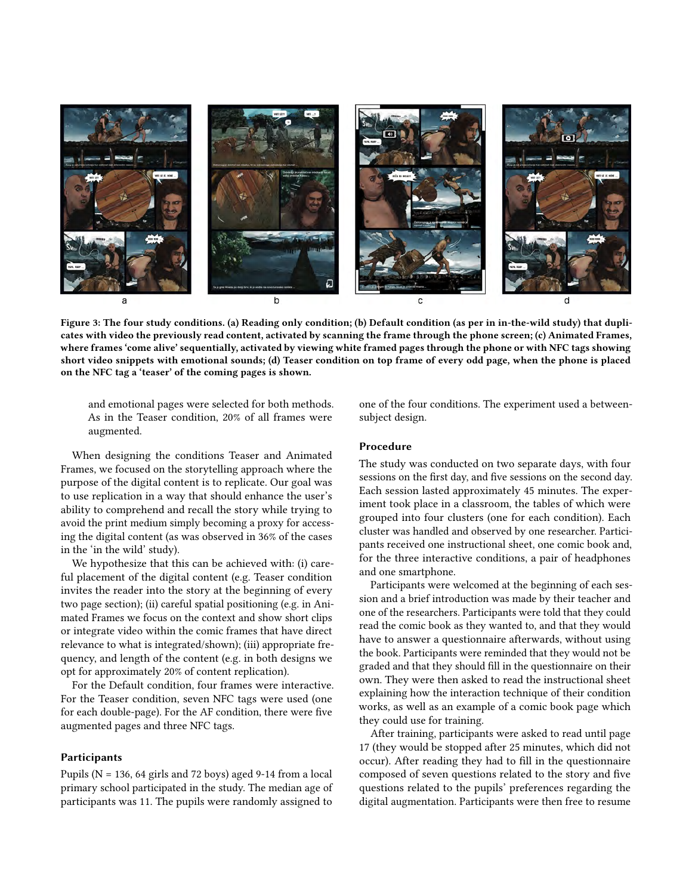<span id="page-6-0"></span>

Figure 3: The four study conditions. (a) Reading only condition; (b) Default condition (as per in in-the-wild study) that duplicates with video the previously read content, activated by scanning the frame through the phone screen; (c) Animated Frames, where frames 'come alive' sequentially, activated by viewing white framed pages through the phone or with NFC tags showing short video snippets with emotional sounds; (d) Teaser condition on top frame of every odd page, when the phone is placed on the NFC tag a 'teaser' of the coming pages is shown.

and emotional pages were selected for both methods. As in the Teaser condition, 20% of all frames were augmented.

When designing the conditions Teaser and Animated Frames, we focused on the storytelling approach where the purpose of the digital content is to replicate. Our goal was to use replication in a way that should enhance the user's ability to comprehend and recall the story while trying to avoid the print medium simply becoming a proxy for accessing the digital content (as was observed in 36% of the cases in the 'in the wild' study).

We hypothesize that this can be achieved with: (i) careful placement of the digital content (e.g. Teaser condition invites the reader into the story at the beginning of every two page section); (ii) careful spatial positioning (e.g. in Animated Frames we focus on the context and show short clips or integrate video within the comic frames that have direct relevance to what is integrated/shown); (iii) appropriate frequency, and length of the content (e.g. in both designs we opt for approximately 20% of content replication).

For the Default condition, four frames were interactive. For the Teaser condition, seven NFC tags were used (one for each double-page). For the AF condition, there were five augmented pages and three NFC tags.

#### **Participants**

Pupils ( $N = 136$ , 64 girls and 72 boys) aged 9-14 from a local primary school participated in the study. The median age of participants was 11. The pupils were randomly assigned to

one of the four conditions. The experiment used a betweensubject design.

#### Procedure

The study was conducted on two separate days, with four sessions on the first day, and five sessions on the second day. Each session lasted approximately 45 minutes. The experiment took place in a classroom, the tables of which were grouped into four clusters (one for each condition). Each cluster was handled and observed by one researcher. Participants received one instructional sheet, one comic book and, for the three interactive conditions, a pair of headphones and one smartphone.

Participants were welcomed at the beginning of each session and a brief introduction was made by their teacher and one of the researchers. Participants were told that they could read the comic book as they wanted to, and that they would have to answer a questionnaire afterwards, without using the book. Participants were reminded that they would not be graded and that they should fill in the questionnaire on their own. They were then asked to read the instructional sheet explaining how the interaction technique of their condition works, as well as an example of a comic book page which they could use for training.

After training, participants were asked to read until page 17 (they would be stopped after 25 minutes, which did not occur). After reading they had to fill in the questionnaire composed of seven questions related to the story and five questions related to the pupils' preferences regarding the digital augmentation. Participants were then free to resume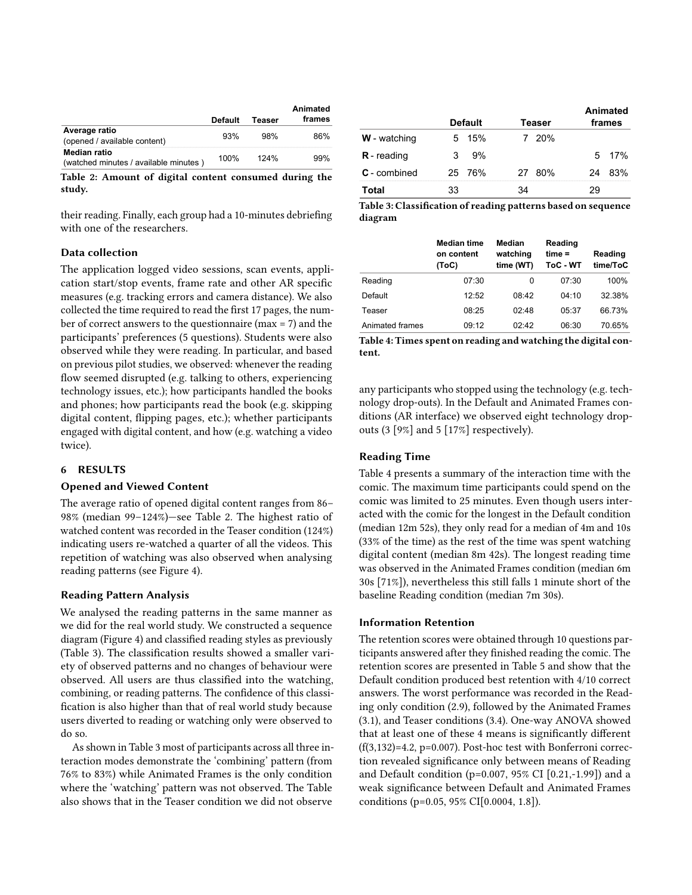<span id="page-7-0"></span>

|                                                       | Default | Teaser | Animated<br>frames |
|-------------------------------------------------------|---------|--------|--------------------|
| Average ratio<br>(opened / available content)         | 93%     | 98%    | 86%                |
| Median ratio<br>(watched minutes / available minutes) | 100%    | 124%   | 99%                |

Table 2: Amount of digital content consumed during the study.

their reading. Finally, each group had a 10-minutes debriefing with one of the researchers.

## Data collection

The application logged video sessions, scan events, application start/stop events, frame rate and other AR specific measures (e.g. tracking errors and camera distance). We also collected the time required to read the first 17 pages, the number of correct answers to the questionnaire (max = 7) and the participants' preferences (5 questions). Students were also observed while they were reading. In particular, and based on previous pilot studies, we observed: whenever the reading flow seemed disrupted (e.g. talking to others, experiencing technology issues, etc.); how participants handled the books and phones; how participants read the book (e.g. skipping digital content, flipping pages, etc.); whether participants engaged with digital content, and how (e.g. watching a video twice).

#### 6 RESULTS

#### Opened and Viewed Content

The average ratio of opened digital content ranges from 86– 98% (median 99–124%)—see Table [2.](#page-7-0) The highest ratio of watched content was recorded in the Teaser condition (124%) indicating users re-watched a quarter of all the videos. This repetition of watching was also observed when analysing reading patterns (see Figure [4\)](#page-8-0).

## Reading Pattern Analysis

We analysed the reading patterns in the same manner as we did for the real world study. We constructed a sequence diagram (Figure [4\)](#page-8-0) and classified reading styles as previously (Table [3\)](#page-7-1). The classification results showed a smaller variety of observed patterns and no changes of behaviour were observed. All users are thus classified into the watching, combining, or reading patterns. The confidence of this classification is also higher than that of real world study because users diverted to reading or watching only were observed to do so.

As shown in Table [3](#page-7-1) most of participants across all three interaction modes demonstrate the 'combining' pattern (from 76% to 83%) while Animated Frames is the only condition where the 'watching' pattern was not observed. The Table also shows that in the Teaser condition we did not observe

<span id="page-7-1"></span>

|                     |    |                |    |        |    | Animated |
|---------------------|----|----------------|----|--------|----|----------|
|                     |    | <b>Default</b> |    | Teaser |    | frames   |
| <b>W</b> - watching | 5  | 15%            |    | 7 20%  |    |          |
| $R$ - reading       | 3  | 9%             |    |        |    | 5 17%    |
| <b>C</b> - combined |    | 25 76%         |    | 27 80% | 24 | 83%      |
| Total               | 33 |                | 34 |        | 29 |          |

Table 3: Classification of reading patterns based on sequence diagram

<span id="page-7-2"></span>

|                 | <b>Median time</b><br>on content<br>(ToC) | Median<br>watching<br>time (WT) | Reading<br>$time =$<br>ToC - WT | Reading<br>time/ToC |
|-----------------|-------------------------------------------|---------------------------------|---------------------------------|---------------------|
| Reading         | 07:30                                     | 0                               | 07:30                           | 100%                |
| Default         | 12.52                                     | 08.42                           | 04.10                           | 32.38%              |
| Teaser          | 08:25                                     | 02.48                           | 05:37                           | 66.73%              |
| Animated frames | 09:12                                     | 02.42                           | 06:30                           | 70.65%              |

Table 4: Times spent on reading and watching the digital content.

any participants who stopped using the technology (e.g. technology drop-outs). In the Default and Animated Frames conditions (AR interface) we observed eight technology dropouts (3 [9%] and 5 [17%] respectively).

# Reading Time

Table [4](#page-7-2) presents a summary of the interaction time with the comic. The maximum time participants could spend on the comic was limited to 25 minutes. Even though users interacted with the comic for the longest in the Default condition (median 12m 52s), they only read for a median of 4m and 10s (33% of the time) as the rest of the time was spent watching digital content (median 8m 42s). The longest reading time was observed in the Animated Frames condition (median 6m 30s [71%]), nevertheless this still falls 1 minute short of the baseline Reading condition (median 7m 30s).

#### Information Retention

The retention scores were obtained through 10 questions participants answered after they finished reading the comic. The retention scores are presented in Table [5](#page-8-1) and show that the Default condition produced best retention with 4/10 correct answers. The worst performance was recorded in the Reading only condition (2.9), followed by the Animated Frames (3.1), and Teaser conditions (3.4). One-way ANOVA showed that at least one of these 4 means is significantly different  $(f(3,132)=4.2, p=0.007)$ . Post-hoc test with Bonferroni correction revealed significance only between means of Reading and Default condition (p=0.007, 95% CI [0.21,-1.99]) and a weak significance between Default and Animated Frames conditions (p=0.05, 95% CI[0.0004, 1.8]).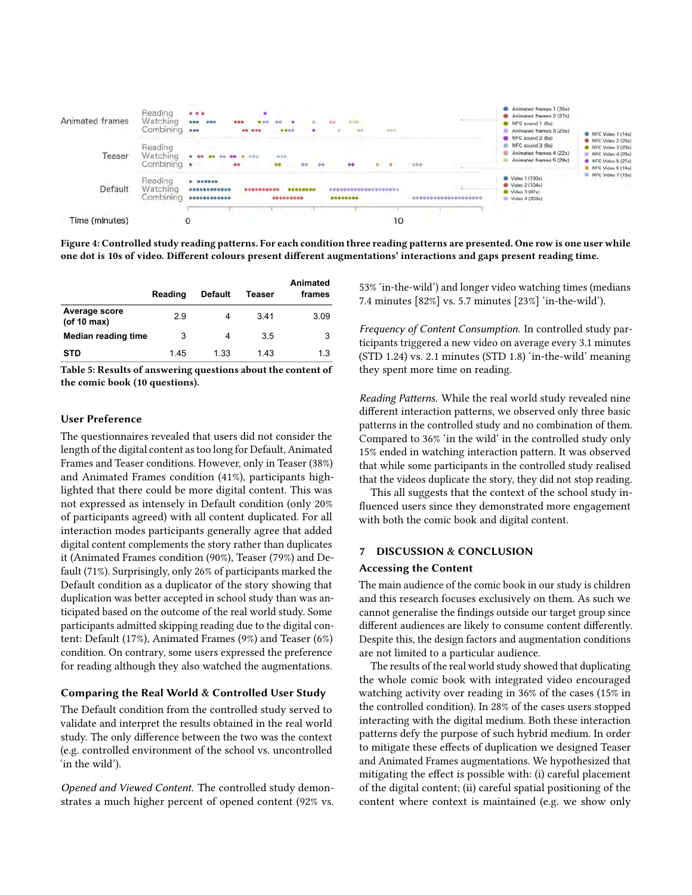<span id="page-8-0"></span>

Figure 4: Controlled study reading patterns. For each condition three reading patterns are presented. One row is one user while one dot is 10s of video. Different colours present different augmentations' interactions and gaps present reading time.

<span id="page-8-1"></span>

|                                    | Reading | <b>Default</b> | Teaser | Animated<br>frames |
|------------------------------------|---------|----------------|--------|--------------------|
| Average score<br>$($ of 10 max $)$ | 2.9     |                | 3.41   | 3.09               |
| Median reading time                | 3       | 4              | 3.5    | 3                  |
| <b>STD</b>                         | 1.45    | 1.33           | 1.43   | 1.3                |

Table 5: Results of answering questions about the content of the comic book (10 questions).

#### User Preference

The questionnaires revealed that users did not consider the length of the digital content as too long for Default, Animated Frames and Teaser conditions. However, only in Teaser (38%) and Animated Frames condition (41%), participants highlighted that there could be more digital content. This was not expressed as intensely in Default condition (only 20% of participants agreed) with all content duplicated. For all interaction modes participants generally agree that added digital content complements the story rather than duplicates it (Animated Frames condition (90%), Teaser (79%) and Default (71%). Surprisingly, only 26% of participants marked the Default condition as a duplicator of the story showing that duplication was better accepted in school study than was anticipated based on the outcome of the real world study. Some participants admitted skipping reading due to the digital content: Default (17%), Animated Frames (9%) and Teaser (6%) condition. On contrary, some users expressed the preference for reading although they also watched the augmentations.

# Comparing the Real World & Controlled User Study

The Default condition from the controlled study served to validate and interpret the results obtained in the real world study. The only difference between the two was the context (e.g. controlled environment of the school vs. uncontrolled 'in the wild').

Opened and Viewed Content. The controlled study demonstrates a much higher percent of opened content (92% vs. 53% 'in-the-wild') and longer video watching times (medians 7.4 minutes [82%] vs. 5.7 minutes [23%] 'in-the-wild').

Frequency of Content Consumption. In controlled study participants triggered a new video on average every 3.1 minutes (STD 1.24) vs. 2.1 minutes (STD 1.8) 'in-the-wild' meaning they spent more time on reading.

Reading Patterns. While the real world study revealed nine different interaction patterns, we observed only three basic patterns in the controlled study and no combination of them. Compared to 36% 'in the wild' in the controlled study only 15% ended in watching interaction pattern. It was observed that while some participants in the controlled study realised that the videos duplicate the story, they did not stop reading.

This all suggests that the context of the school study influenced users since they demonstrated more engagement with both the comic book and digital content.

#### 7 DISCUSSION & CONCLUSION

#### Accessing the Content

The main audience of the comic book in our study is children and this research focuses exclusively on them. As such we cannot generalise the findings outside our target group since different audiences are likely to consume content differently. Despite this, the design factors and augmentation conditions are not limited to a particular audience.

The results of the real world study showed that duplicating the whole comic book with integrated video encouraged watching activity over reading in 36% of the cases (15% in the controlled condition). In 28% of the cases users stopped interacting with the digital medium. Both these interaction patterns defy the purpose of such hybrid medium. In order to mitigate these effects of duplication we designed Teaser and Animated Frames augmentations. We hypothesized that mitigating the effect is possible with: (i) careful placement of the digital content; (ii) careful spatial positioning of the content where context is maintained (e.g. we show only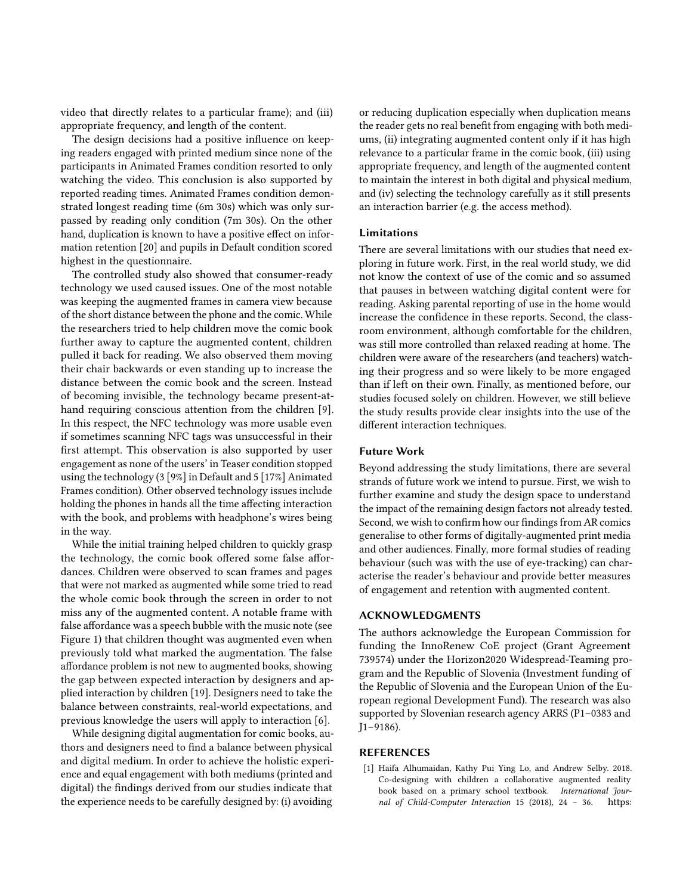video that directly relates to a particular frame); and (iii) appropriate frequency, and length of the content.

The design decisions had a positive influence on keeping readers engaged with printed medium since none of the participants in Animated Frames condition resorted to only watching the video. This conclusion is also supported by reported reading times. Animated Frames condition demonstrated longest reading time (6m 30s) which was only surpassed by reading only condition (7m 30s). On the other hand, duplication is known to have a positive effect on information retention [\[20\]](#page-10-27) and pupils in Default condition scored highest in the questionnaire.

The controlled study also showed that consumer-ready technology we used caused issues. One of the most notable was keeping the augmented frames in camera view because of the short distance between the phone and the comic. While the researchers tried to help children move the comic book further away to capture the augmented content, children pulled it back for reading. We also observed them moving their chair backwards or even standing up to increase the distance between the comic book and the screen. Instead of becoming invisible, the technology became present-athand requiring conscious attention from the children [\[9\]](#page-10-28). In this respect, the NFC technology was more usable even if sometimes scanning NFC tags was unsuccessful in their first attempt. This observation is also supported by user engagement as none of the users' in Teaser condition stopped using the technology (3 [9%] in Default and 5 [17%] Animated Frames condition). Other observed technology issues include holding the phones in hands all the time affecting interaction with the book, and problems with headphone's wires being in the way.

While the initial training helped children to quickly grasp the technology, the comic book offered some false affordances. Children were observed to scan frames and pages that were not marked as augmented while some tried to read the whole comic book through the screen in order to not miss any of the augmented content. A notable frame with false affordance was a speech bubble with the music note (see Figure [1\)](#page-0-0) that children thought was augmented even when previously told what marked the augmentation. The false affordance problem is not new to augmented books, showing the gap between expected interaction by designers and applied interaction by children [\[19\]](#page-10-22). Designers need to take the balance between constraints, real-world expectations, and previous knowledge the users will apply to interaction [\[6\]](#page-10-29).

While designing digital augmentation for comic books, authors and designers need to find a balance between physical and digital medium. In order to achieve the holistic experience and equal engagement with both mediums (printed and digital) the findings derived from our studies indicate that the experience needs to be carefully designed by: (i) avoiding

or reducing duplication especially when duplication means the reader gets no real benefit from engaging with both mediums, (ii) integrating augmented content only if it has high relevance to a particular frame in the comic book, (iii) using appropriate frequency, and length of the augmented content to maintain the interest in both digital and physical medium, and (iv) selecting the technology carefully as it still presents an interaction barrier (e.g. the access method).

#### Limitations

There are several limitations with our studies that need exploring in future work. First, in the real world study, we did not know the context of use of the comic and so assumed that pauses in between watching digital content were for reading. Asking parental reporting of use in the home would increase the confidence in these reports. Second, the classroom environment, although comfortable for the children, was still more controlled than relaxed reading at home. The children were aware of the researchers (and teachers) watching their progress and so were likely to be more engaged than if left on their own. Finally, as mentioned before, our studies focused solely on children. However, we still believe the study results provide clear insights into the use of the different interaction techniques.

## Future Work

Beyond addressing the study limitations, there are several strands of future work we intend to pursue. First, we wish to further examine and study the design space to understand the impact of the remaining design factors not already tested. Second, we wish to confirm how our findings from AR comics generalise to other forms of digitally-augmented print media and other audiences. Finally, more formal studies of reading behaviour (such was with the use of eye-tracking) can characterise the reader's behaviour and provide better measures of engagement and retention with augmented content.

## ACKNOWLEDGMENTS

The authors acknowledge the European Commission for funding the InnoRenew CoE project (Grant Agreement 739574) under the Horizon2020 Widespread-Teaming program and the Republic of Slovenia (Investment funding of the Republic of Slovenia and the European Union of the European regional Development Fund). The research was also supported by Slovenian research agency ARRS (P1–0383 and J1–9186).

#### REFERENCES

<span id="page-9-0"></span>[1] Haifa Alhumaidan, Kathy Pui Ying Lo, and Andrew Selby. 2018. Co-designing with children a collaborative augmented reality book based on a primary school textbook. International Journal of Child-Computer Interaction 15 (2018), 24 – 36. [https:](https://doi.org/10.1016/j.ijcci.2017.11.005)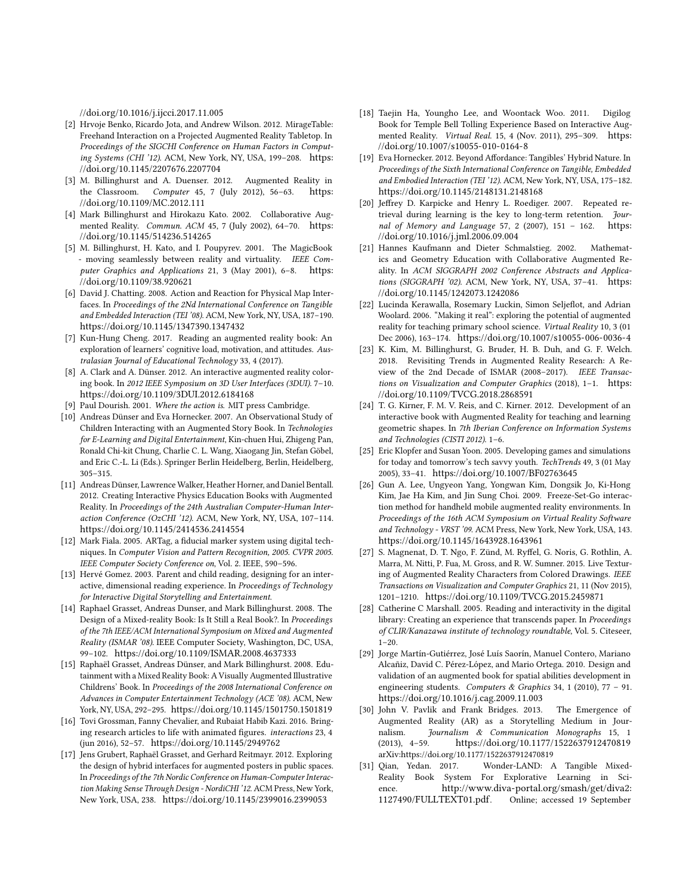[//doi.org/10.1016/j.ijcci.2017.11.005](https://doi.org/10.1016/j.ijcci.2017.11.005)

- <span id="page-10-25"></span>[2] Hrvoje Benko, Ricardo Jota, and Andrew Wilson. 2012. MirageTable: Freehand Interaction on a Projected Augmented Reality Tabletop. In Proceedings of the SIGCHI Conference on Human Factors in Computing Systems (CHI '12). ACM, New York, NY, USA, 199–208. [https:](https://doi.org/10.1145/2207676.2207704) [//doi.org/10.1145/2207676.2207704](https://doi.org/10.1145/2207676.2207704)
- <span id="page-10-5"></span>[3] M. Billinghurst and A. Duenser. 2012. Augmented Reality in the Classroom. Computer 45, 7 (July 2012), 56–63. [https:](https://doi.org/10.1109/MC.2012.111) [//doi.org/10.1109/MC.2012.111](https://doi.org/10.1109/MC.2012.111)
- <span id="page-10-8"></span>[4] Mark Billinghurst and Hirokazu Kato. 2002. Collaborative Augmented Reality. Commun. ACM 45, 7 (July 2002), 64–70. [https:](https://doi.org/10.1145/514236.514265) [//doi.org/10.1145/514236.514265](https://doi.org/10.1145/514236.514265)
- <span id="page-10-14"></span>[5] M. Billinghurst, H. Kato, and I. Poupyrev. 2001. The MagicBook - moving seamlessly between reality and virtuality. IEEE Computer Graphics and Applications 21, 3 (May 2001), 6–8. [https:](https://doi.org/10.1109/38.920621) [//doi.org/10.1109/38.920621](https://doi.org/10.1109/38.920621)
- <span id="page-10-29"></span>[6] David J. Chatting. 2008. Action and Reaction for Physical Map Interfaces. In Proceedings of the 2Nd International Conference on Tangible and Embedded Interaction (TEI '08). ACM, New York, NY, USA, 187–190. <https://doi.org/10.1145/1347390.1347432>
- <span id="page-10-23"></span>[7] Kun-Hung Cheng. 2017. Reading an augmented reality book: An exploration of learners' cognitive load, motivation, and attitudes. Australasian Journal of Educational Technology 33, 4 (2017).
- <span id="page-10-20"></span>[8] A. Clark and A. Dünser. 2012. An interactive augmented reality coloring book. In 2012 IEEE Symposium on 3D User Interfaces (3DUI). 7–10. <https://doi.org/10.1109/3DUI.2012.6184168>
- <span id="page-10-28"></span>[9] Paul Dourish. 2001. Where the action is. MIT press Cambridge.
- <span id="page-10-15"></span>[10] Andreas Dünser and Eva Hornecker. 2007. An Observational Study of Children Interacting with an Augmented Story Book. In Technologies for E-Learning and Digital Entertainment, Kin-chuen Hui, Zhigeng Pan, Ronald Chi-kit Chung, Charlie C. L. Wang, Xiaogang Jin, Stefan Göbel, and Eric C.-L. Li (Eds.). Springer Berlin Heidelberg, Berlin, Heidelberg, 305–315.
- <span id="page-10-11"></span>[11] Andreas Dünser, Lawrence Walker, Heather Horner, and Daniel Bentall. 2012. Creating Interactive Physics Education Books with Augmented Reality. In Proceedings of the 24th Australian Computer-Human Interaction Conference (OzCHI '12). ACM, New York, NY, USA, 107–114. <https://doi.org/10.1145/2414536.2414554>
- <span id="page-10-26"></span>[12] Mark Fiala. 2005. ARTag, a fiducial marker system using digital techniques. In Computer Vision and Pattern Recognition, 2005. CVPR 2005. IEEE Computer Society Conference on, Vol. 2. IEEE, 590–596.
- <span id="page-10-24"></span>[13] Hervé Gomez. 2003. Parent and child reading, designing for an interactive, dimensional reading experience. In Proceedings of Technology for Interactive Digital Storytelling and Entertainment.
- <span id="page-10-1"></span>[14] Raphael Grasset, Andreas Dunser, and Mark Billinghurst. 2008. The Design of a Mixed-reality Book: Is It Still a Real Book?. In Proceedings of the 7th IEEE/ACM International Symposium on Mixed and Augmented Reality (ISMAR '08). IEEE Computer Society, Washington, DC, USA, 99–102. <https://doi.org/10.1109/ISMAR.2008.4637333>
- <span id="page-10-13"></span>[15] Raphaël Grasset, Andreas Dünser, and Mark Billinghurst. 2008. Edutainment with a Mixed Reality Book: A Visually Augmented Illustrative Childrens' Book. In Proceedings of the 2008 International Conference on Advances in Computer Entertainment Technology (ACE '08). ACM, New York, NY, USA, 292–295. <https://doi.org/10.1145/1501750.1501819>
- <span id="page-10-2"></span>[16] Tovi Grossman, Fanny Chevalier, and Rubaiat Habib Kazi. 2016. Bringing research articles to life with animated figures. interactions 23, 4 (jun 2016), 52–57. <https://doi.org/10.1145/2949762>
- <span id="page-10-19"></span>[17] Jens Grubert, Raphaël Grasset, and Gerhard Reitmayr. 2012. Exploring the design of hybrid interfaces for augmented posters in public spaces. In Proceedings of the 7th Nordic Conference on Human-Computer Interaction Making Sense Through Design - NordiCHI '12. ACM Press, New York, New York, USA, 238. <https://doi.org/10.1145/2399016.2399053>
- <span id="page-10-16"></span>[18] Taejin Ha, Youngho Lee, and Woontack Woo. 2011. Digilog Book for Temple Bell Tolling Experience Based on Interactive Augmented Reality. Virtual Real. 15, 4 (Nov. 2011), 295–309. [https:](https://doi.org/10.1007/s10055-010-0164-8) [//doi.org/10.1007/s10055-010-0164-8](https://doi.org/10.1007/s10055-010-0164-8)
- <span id="page-10-22"></span>[19] Eva Hornecker. 2012. Beyond Affordance: Tangibles' Hybrid Nature. In Proceedings of the Sixth International Conference on Tangible, Embedded and Embodied Interaction (TEI '12). ACM, New York, NY, USA, 175–182. <https://doi.org/10.1145/2148131.2148168>
- <span id="page-10-27"></span>[20] Jeffrey D. Karpicke and Henry L. Roediger. 2007. Repeated retrieval during learning is the key to long-term retention. Journal of Memory and Language 57, 2 (2007), 151 – 162. [https:](https://doi.org/10.1016/j.jml.2006.09.004) [//doi.org/10.1016/j.jml.2006.09.004](https://doi.org/10.1016/j.jml.2006.09.004)
- <span id="page-10-9"></span>[21] Hannes Kaufmann and Dieter Schmalstieg. 2002. Mathematics and Geometry Education with Collaborative Augmented Reality. In ACM SIGGRAPH 2002 Conference Abstracts and Applications (SIGGRAPH '02). ACM, New York, NY, USA, 37–41. [https:](https://doi.org/10.1145/1242073.1242086) [//doi.org/10.1145/1242073.1242086](https://doi.org/10.1145/1242073.1242086)
- <span id="page-10-6"></span>[22] Lucinda Kerawalla, Rosemary Luckin, Simon Seljeflot, and Adrian Woolard. 2006. "Making it real": exploring the potential of augmented reality for teaching primary school science. Virtual Reality 10, 3 (01 Dec 2006), 163–174. <https://doi.org/10.1007/s10055-006-0036-4>
- <span id="page-10-0"></span>[23] K. Kim, M. Billinghurst, G. Bruder, H. B. Duh, and G. F. Welch. 2018. Revisiting Trends in Augmented Reality Research: A Review of the 2nd Decade of ISMAR (2008–2017). IEEE Transactions on Visualization and Computer Graphics (2018), 1–1. [https:](https://doi.org/10.1109/TVCG.2018.2868591) [//doi.org/10.1109/TVCG.2018.2868591](https://doi.org/10.1109/TVCG.2018.2868591)
- <span id="page-10-10"></span>[24] T. G. Kirner, F. M. V. Reis, and C. Kirner. 2012. Development of an interactive book with Augmented Reality for teaching and learning geometric shapes. In 7th Iberian Conference on Information Systems and Technologies (CISTI 2012). 1–6.
- <span id="page-10-7"></span>[25] Eric Klopfer and Susan Yoon. 2005. Developing games and simulations for today and tomorrow's tech savvy youth. TechTrends 49, 3 (01 May 2005), 33–41. <https://doi.org/10.1007/BF02763645>
- <span id="page-10-18"></span>[26] Gun A. Lee, Ungyeon Yang, Yongwan Kim, Dongsik Jo, Ki-Hong Kim, Jae Ha Kim, and Jin Sung Choi. 2009. Freeze-Set-Go interaction method for handheld mobile augmented reality environments. In Proceedings of the 16th ACM Symposium on Virtual Reality Software and Technology - VRST '09. ACM Press, New York, New York, USA, 143. <https://doi.org/10.1145/1643928.1643961>
- <span id="page-10-21"></span>[27] S. Magnenat, D. T. Ngo, F. Zünd, M. Ryffel, G. Noris, G. Rothlin, A. Marra, M. Nitti, P. Fua, M. Gross, and R. W. Sumner. 2015. Live Texturing of Augmented Reality Characters from Colored Drawings. IEEE Transactions on Visualization and Computer Graphics 21, 11 (Nov 2015), 1201–1210. <https://doi.org/10.1109/TVCG.2015.2459871>
- <span id="page-10-3"></span>[28] Catherine C Marshall. 2005. Reading and interactivity in the digital library: Creating an experience that transcends paper. In Proceedings of CLIR/Kanazawa institute of technology roundtable, Vol. 5. Citeseer, 1–20.
- <span id="page-10-12"></span>[29] Jorge Martín-Gutiérrez, José Luís Saorín, Manuel Contero, Mariano Alcañiz, David C. Pérez-López, and Mario Ortega. 2010. Design and validation of an augmented book for spatial abilities development in engineering students. Computers & Graphics 34, 1 (2010), 77 – 91. <https://doi.org/10.1016/j.cag.2009.11.003>
- <span id="page-10-4"></span>[30] John V. Pavlik and Frank Bridges. 2013. The Emergence of Augmented Reality (AR) as a Storytelling Medium in Journalism. Journalism & Communication Monographs 15, 1 (2013), 4–59. <https://doi.org/10.1177/1522637912470819> arXiv[:https://doi.org/10.1177/1522637912470819](http://arxiv.org/abs/https://doi.org/10.1177/1522637912470819)
- <span id="page-10-17"></span>[31] Qian, Yedan. 2017. Wonder-LAND: A Tangible Mixed-Reality Book System For Explorative Learning in Science. [http://www.diva-portal.org/smash/get/diva2:](http://www.diva-portal.org/smash/get/diva2:1127490/FULLTEXT01.pdf) [1127490/FULLTEXT01.pdf](http://www.diva-portal.org/smash/get/diva2:1127490/FULLTEXT01.pdf). Online; accessed 19 September